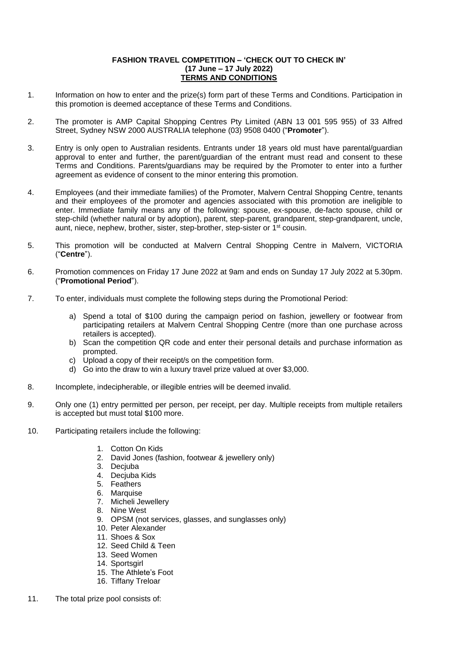## **FASHION TRAVEL COMPETITION – 'CHECK OUT TO CHECK IN' (17 June – 17 July 2022) TERMS AND CONDITIONS**

- 1. Information on how to enter and the prize(s) form part of these Terms and Conditions. Participation in this promotion is deemed acceptance of these Terms and Conditions.
- 2. The promoter is AMP Capital Shopping Centres Pty Limited (ABN 13 001 595 955) of 33 Alfred Street, Sydney NSW 2000 AUSTRALIA telephone (03) 9508 0400 ("**Promoter**").
- 3. Entry is only open to Australian residents. Entrants under 18 years old must have parental/guardian approval to enter and further, the parent/guardian of the entrant must read and consent to these Terms and Conditions. Parents/guardians may be required by the Promoter to enter into a further agreement as evidence of consent to the minor entering this promotion.
- 4. Employees (and their immediate families) of the Promoter, Malvern Central Shopping Centre, tenants and their employees of the promoter and agencies associated with this promotion are ineligible to enter. Immediate family means any of the following: spouse, ex-spouse, de-facto spouse, child or step-child (whether natural or by adoption), parent, step-parent, grandparent, step-grandparent, uncle, aunt, niece, nephew, brother, sister, step-brother, step-sister or 1<sup>st</sup> cousin.
- 5. This promotion will be conducted at Malvern Central Shopping Centre in Malvern, VICTORIA ("**Centre**").
- 6. Promotion commences on Friday 17 June 2022 at 9am and ends on Sunday 17 July 2022 at 5.30pm. ("**Promotional Period**").
- 7. To enter, individuals must complete the following steps during the Promotional Period:
	- a) Spend a total of \$100 during the campaign period on fashion, jewellery or footwear from participating retailers at Malvern Central Shopping Centre (more than one purchase across retailers is accepted).
	- b) Scan the competition QR code and enter their personal details and purchase information as prompted.
	- c) Upload a copy of their receipt/s on the competition form.
	- d) Go into the draw to win a luxury travel prize valued at over \$3,000.
- 8. Incomplete, indecipherable, or illegible entries will be deemed invalid.
- 9. Only one (1) entry permitted per person, per receipt, per day. Multiple receipts from multiple retailers is accepted but must total \$100 more.
- 10. Participating retailers include the following:
	- 1. Cotton On Kids
	- 2. David Jones (fashion, footwear & jewellery only)
	- 3. Decjuba
	- 4. Decjuba Kids
	- 5. Feathers
	- 6. Marquise
	- 7. Micheli Jewellery
	- 8. Nine West
	- 9. OPSM (not services, glasses, and sunglasses only)
	- 10. Peter Alexander
	- 11. Shoes & Sox
	- 12. Seed Child & Teen
	- 13. Seed Women
	- 14. Sportsgirl
	- 15. The Athlete's Foot
	- 16. Tiffany Treloar
- 11. The total prize pool consists of: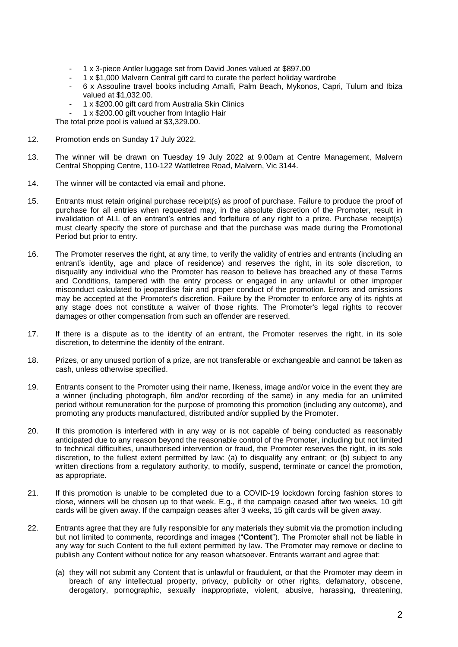- 1 x 3-piece Antler luggage set from David Jones valued at \$897.00
	- 1 x \$1,000 Malvern Central gift card to curate the perfect holiday wardrobe
- 6 x Assouline travel books including Amalfi, Palm Beach, Mykonos, Capri, Tulum and Ibiza valued at \$1,032.00.
- 1 x \$200.00 gift card from Australia Skin Clinics
- 1 x \$200.00 gift voucher from Intaglio Hair

The total prize pool is valued at \$3,329.00.

- 12. Promotion ends on Sunday 17 July 2022.
- 13. The winner will be drawn on Tuesday 19 July 2022 at 9.00am at Centre Management, Malvern Central Shopping Centre, 110-122 Wattletree Road, Malvern, Vic 3144.
- 14. The winner will be contacted via email and phone.
- 15. Entrants must retain original purchase receipt(s) as proof of purchase. Failure to produce the proof of purchase for all entries when requested may, in the absolute discretion of the Promoter, result in invalidation of ALL of an entrant's entries and forfeiture of any right to a prize. Purchase receipt(s) must clearly specify the store of purchase and that the purchase was made during the Promotional Period but prior to entry.
- 16. The Promoter reserves the right, at any time, to verify the validity of entries and entrants (including an entrant's identity, age and place of residence) and reserves the right, in its sole discretion, to disqualify any individual who the Promoter has reason to believe has breached any of these Terms and Conditions, tampered with the entry process or engaged in any unlawful or other improper misconduct calculated to jeopardise fair and proper conduct of the promotion. Errors and omissions may be accepted at the Promoter's discretion. Failure by the Promoter to enforce any of its rights at any stage does not constitute a waiver of those rights. The Promoter's legal rights to recover damages or other compensation from such an offender are reserved.
- 17. If there is a dispute as to the identity of an entrant, the Promoter reserves the right, in its sole discretion, to determine the identity of the entrant.
- 18. Prizes, or any unused portion of a prize, are not transferable or exchangeable and cannot be taken as cash, unless otherwise specified.
- 19. Entrants consent to the Promoter using their name, likeness, image and/or voice in the event they are a winner (including photograph, film and/or recording of the same) in any media for an unlimited period without remuneration for the purpose of promoting this promotion (including any outcome), and promoting any products manufactured, distributed and/or supplied by the Promoter.
- 20. If this promotion is interfered with in any way or is not capable of being conducted as reasonably anticipated due to any reason beyond the reasonable control of the Promoter, including but not limited to technical difficulties, unauthorised intervention or fraud, the Promoter reserves the right, in its sole discretion, to the fullest extent permitted by law: (a) to disqualify any entrant; or (b) subject to any written directions from a regulatory authority, to modify, suspend, terminate or cancel the promotion, as appropriate.
- 21. If this promotion is unable to be completed due to a COVID-19 lockdown forcing fashion stores to close, winners will be chosen up to that week. E.g., if the campaign ceased after two weeks, 10 gift cards will be given away. If the campaign ceases after 3 weeks, 15 gift cards will be given away.
- 22. Entrants agree that they are fully responsible for any materials they submit via the promotion including but not limited to comments, recordings and images ("**Content**"). The Promoter shall not be liable in any way for such Content to the full extent permitted by law. The Promoter may remove or decline to publish any Content without notice for any reason whatsoever. Entrants warrant and agree that:
	- (a) they will not submit any Content that is unlawful or fraudulent, or that the Promoter may deem in breach of any intellectual property, privacy, publicity or other rights, defamatory, obscene, derogatory, pornographic, sexually inappropriate, violent, abusive, harassing, threatening,